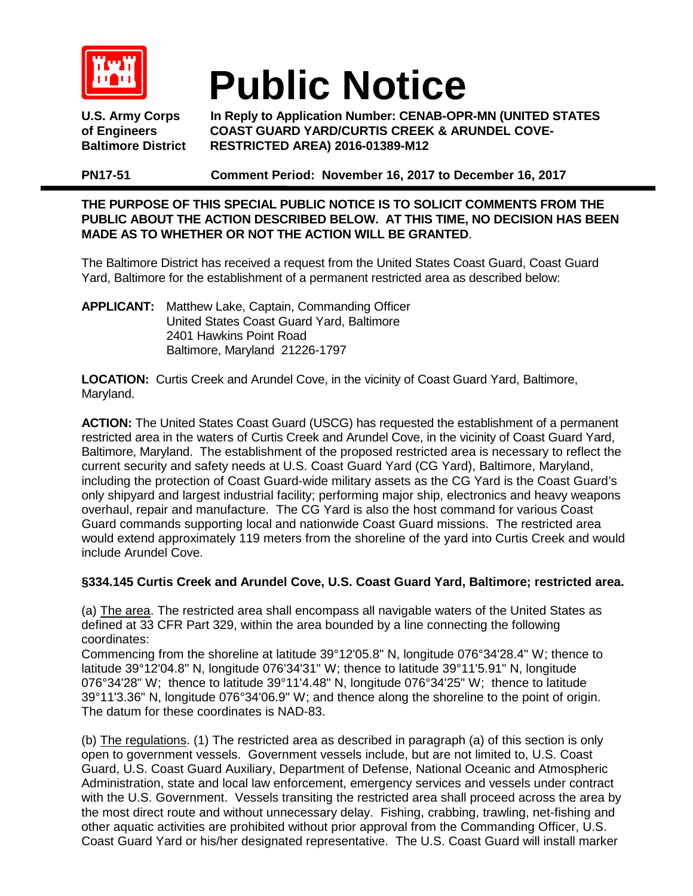

## **Public Notice**

U.S. Army Corps In Reply to Application Number: CENAB-OPR-MN (UNITED STATES of Engineers COAST GUARD YARD/CURTIS CREEK & ARUNDEL COVE**of Engineers COAST GUARD YARD/CURTIS CREEK & ARUNDEL COVE-Baltimore District RESTRICTED AREA) 2016-01389-M12**

**PN17-51 Comment Period: November 16, 2017 to December 16, 2017**

## **THE PURPOSE OF THIS SPECIAL PUBLIC NOTICE IS TO SOLICIT COMMENTS FROM THE PUBLIC ABOUT THE ACTION DESCRIBED BELOW. AT THIS TIME, NO DECISION HAS BEEN MADE AS TO WHETHER OR NOT THE ACTION WILL BE GRANTED**.

The Baltimore District has received a request from the United States Coast Guard, Coast Guard Yard, Baltimore for the establishment of a permanent restricted area as described below:

**APPLICANT:** Matthew Lake, Captain, Commanding Officer United States Coast Guard Yard, Baltimore 2401 Hawkins Point Road Baltimore, Maryland 21226-1797

**LOCATION:** Curtis Creek and Arundel Cove, in the vicinity of Coast Guard Yard, Baltimore, Maryland.

**ACTION:** The United States Coast Guard (USCG) has requested the establishment of a permanent restricted area in the waters of Curtis Creek and Arundel Cove, in the vicinity of Coast Guard Yard, Baltimore, Maryland. The establishment of the proposed restricted area is necessary to reflect the current security and safety needs at U.S. Coast Guard Yard (CG Yard), Baltimore, Maryland, including the protection of Coast Guard-wide military assets as the CG Yard is the Coast Guard's only shipyard and largest industrial facility; performing major ship, electronics and heavy weapons overhaul, repair and manufacture. The CG Yard is also the host command for various Coast Guard commands supporting local and nationwide Coast Guard missions. The restricted area would extend approximately 119 meters from the shoreline of the yard into Curtis Creek and would include Arundel Cove.

## **§334.145 Curtis Creek and Arundel Cove, U.S. Coast Guard Yard, Baltimore; restricted area.**

(a) The area. The restricted area shall encompass all navigable waters of the United States as defined at 33 CFR Part 329, within the area bounded by a line connecting the following coordinates:

Commencing from the shoreline at latitude 39°12'05.8" N, longitude 076°34'28.4" W; thence to latitude 39°12'04.8" N, longitude 076'34'31" W; thence to latitude 39°11'5.91" N, longitude 076°34'28" W; thence to latitude 39°11'4.48" N, longitude 076°34'25" W; thence to latitude 39°11'3.36" N, longitude 076°34'06.9" W; and thence along the shoreline to the point of origin. The datum for these coordinates is NAD-83.

(b) The regulations. (1) The restricted area as described in paragraph (a) of this section is only open to government vessels. Government vessels include, but are not limited to, U.S. Coast Guard, U.S. Coast Guard Auxiliary, Department of Defense, National Oceanic and Atmospheric Administration, state and local law enforcement, emergency services and vessels under contract with the U.S. Government. Vessels transiting the restricted area shall proceed across the area by the most direct route and without unnecessary delay. Fishing, crabbing, trawling, net-fishing and other aquatic activities are prohibited without prior approval from the Commanding Officer, U.S. Coast Guard Yard or his/her designated representative. The U.S. Coast Guard will install marker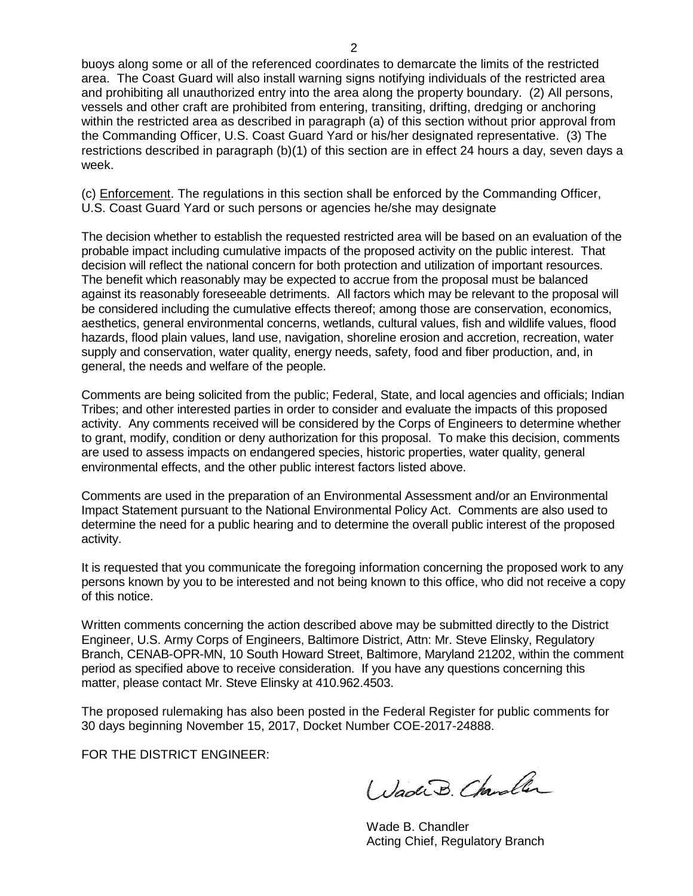buoys along some or all of the referenced coordinates to demarcate the limits of the restricted area. The Coast Guard will also install warning signs notifying individuals of the restricted area and prohibiting all unauthorized entry into the area along the property boundary. (2) All persons, vessels and other craft are prohibited from entering, transiting, drifting, dredging or anchoring within the restricted area as described in paragraph (a) of this section without prior approval from the Commanding Officer, U.S. Coast Guard Yard or his/her designated representative. (3) The restrictions described in paragraph (b)(1) of this section are in effect 24 hours a day, seven days a week.

(c) Enforcement. The regulations in this section shall be enforced by the Commanding Officer, U.S. Coast Guard Yard or such persons or agencies he/she may designate

The decision whether to establish the requested restricted area will be based on an evaluation of the probable impact including cumulative impacts of the proposed activity on the public interest. That decision will reflect the national concern for both protection and utilization of important resources. The benefit which reasonably may be expected to accrue from the proposal must be balanced against its reasonably foreseeable detriments. All factors which may be relevant to the proposal will be considered including the cumulative effects thereof; among those are conservation, economics, aesthetics, general environmental concerns, wetlands, cultural values, fish and wildlife values, flood hazards, flood plain values, land use, navigation, shoreline erosion and accretion, recreation, water supply and conservation, water quality, energy needs, safety, food and fiber production, and, in general, the needs and welfare of the people.

Comments are being solicited from the public; Federal, State, and local agencies and officials; Indian Tribes; and other interested parties in order to consider and evaluate the impacts of this proposed activity. Any comments received will be considered by the Corps of Engineers to determine whether to grant, modify, condition or deny authorization for this proposal. To make this decision, comments are used to assess impacts on endangered species, historic properties, water quality, general environmental effects, and the other public interest factors listed above.

Comments are used in the preparation of an Environmental Assessment and/or an Environmental Impact Statement pursuant to the National Environmental Policy Act. Comments are also used to determine the need for a public hearing and to determine the overall public interest of the proposed activity.

It is requested that you communicate the foregoing information concerning the proposed work to any persons known by you to be interested and not being known to this office, who did not receive a copy of this notice.

Written comments concerning the action described above may be submitted directly to the District Engineer, U.S. Army Corps of Engineers, Baltimore District, Attn: Mr. Steve Elinsky, Regulatory Branch, CENAB-OPR-MN, 10 South Howard Street, Baltimore, Maryland 21202, within the comment period as specified above to receive consideration. If you have any questions concerning this matter, please contact Mr. Steve Elinsky at 410.962.4503.

The proposed rulemaking has also been posted in the Federal Register for public comments for 30 days beginning November 15, 2017, Docket Number COE-2017-24888.

FOR THE DISTRICT ENGINEER:

Wadi B. Charoller

Wade B. Chandler Acting Chief, Regulatory Branch